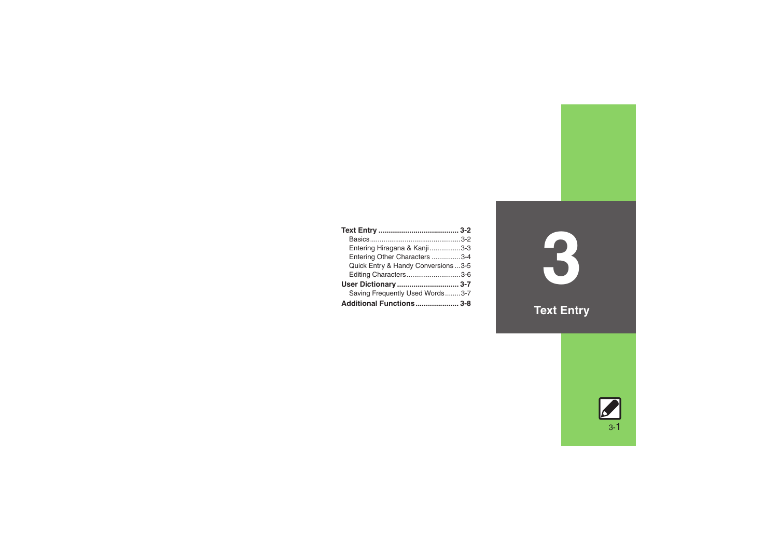| Entering Hiragana & Kanji3-3         |  |
|--------------------------------------|--|
| Entering Other Characters 3-4        |  |
| Quick Entry & Handy Conversions  3-5 |  |
| Editing Characters3-6                |  |
| User Dictionary  3-7                 |  |
| Saving Frequently Used Words3-7      |  |
| Additional Functions 3-8             |  |

**3**

**Text Entry**

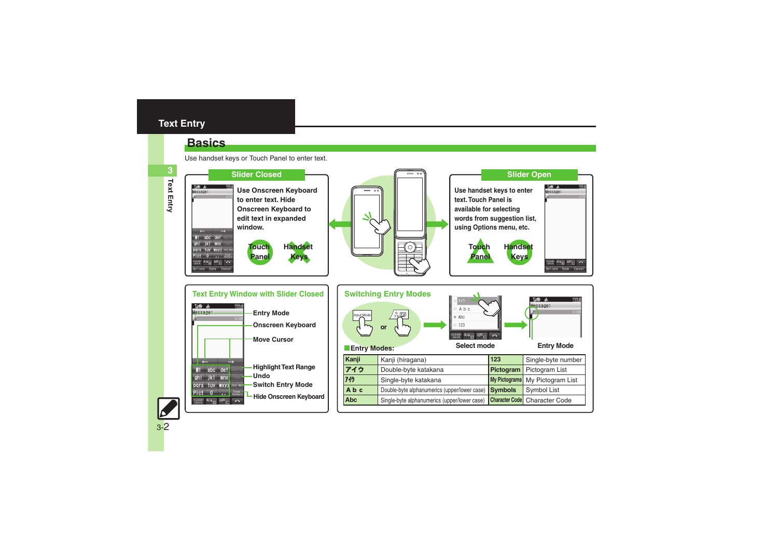### <span id="page-1-0"></span>**Text Entry**

### <span id="page-1-1"></span>**Basics**

Use handset keys or Touch Panel to enter text.



**Text Entry 3**

3-2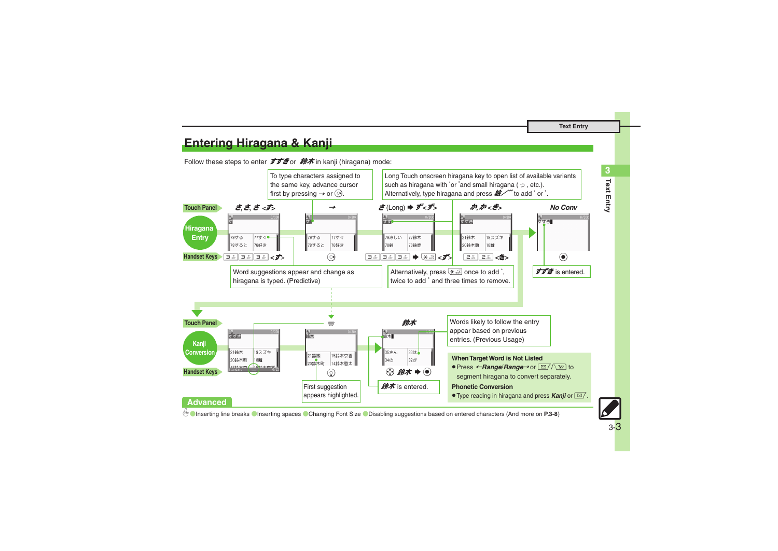**Text Entry**

**3**

### <span id="page-2-0"></span>**Entering Hiragana & Kanji**

Follow these steps to enter  $\vec{J}\vec{J}^*$  or  $\hat{H}\vec{J}$  in kanji (hiragana) mode:



0([Inserting line breaks](#page-7-1) ([Inserting spaces](#page-7-2) ([Changing Font Size](#page-7-3) ([Disabling suggestions based on entered characters](#page-7-4) (And more on **[P.3-8](#page-7-1)**)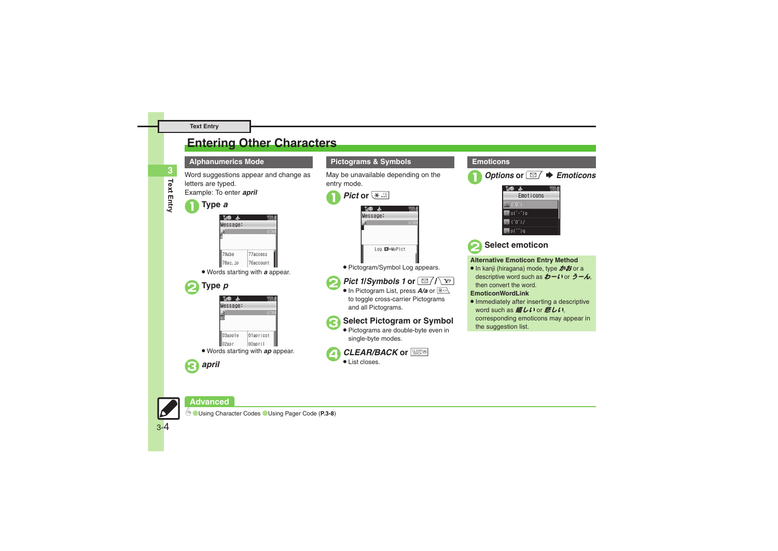### <span id="page-3-0"></span>**Entering Other Characters**

# **Text Entry 3**

### letters are typed. Example: To enter *april*



| Н<br>ņ    |           |
|-----------|-----------|
| Ти®<br>ுക |           |
| Message:  |           |
|           | 0/301     |
|           |           |
|           |           |
| 79abe     | 77access  |
| 78ac.jp   | 76account |

Word suggestions appear and change as

. Words starting with *<sup>a</sup>* appear.





#### **Alphanumerics Mode Pictograms & Symbols Emoticons**

May be unavailable depending on the entry mode.

| Pict or $\left \times\right $ |      |
|-------------------------------|------|
| M® a                          |      |
| lessage:                      |      |
| $-a$                          | 0/30 |
|                               |      |
|                               |      |
| Log <b>ED=MyPict</b>          |      |
| . בנביר<br>-------            |      |

. Pictogram/Symbol Log appears.



*Pict 1/Symbols 1* or  $\boxed{\text{B}/\text{Y}}$ 

**In Pictogram List, press A/a or**  $\boxed{\mathbb{R}^{AB}}$  to toggle cross-carrier Pictograms and all Pictograms.

### **Select Pictogram or Symbol**

 Pictograms are double-byte even in single-byte modes.







2**Select emoticon**

 $\overline{\mathbb{H}}$ p(^^)q

#### **Alternative Emoticon Entry Method**

● In kanji (hiragana) mode, type **かお** or a descriptive word such as  $b - l$  for  $\bar{c} - \lambda$ . then convert the word.

#### **EmoticonWordLink**

. Immediately after inserting a descriptive word such as *嬉しい* or 悲しい corresponding emoticons may appear in the suggestion list.



**Advanced**

3-4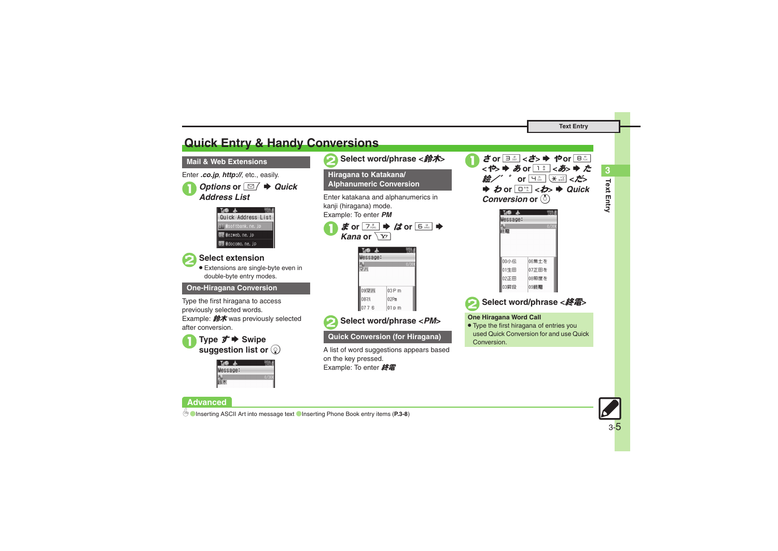**Text Entry**

### <span id="page-4-0"></span>**Quick Entry & Handy Conversions**

#### **Mail & Web Extensions**

Enter *.co.jp*, *http://*, etc., easily.

## *Options* or *⊠* $\rightarrow$ *Quick Address List*



### 2**Select extension** .

 Extensions are single-byte even in double-byte entry modes.

#### **One-Hiragana Conversion**

Type the first hiragana to access previously selected words. Example:  $\mathbf{\hat{m}}\star$  was previously selected after conversion.



| ï |
|---|
|   |
|   |

#### **Advanced**

| <b>Hiragana to Katakana/</b><br><b>Alphanumeric Conversion</b>                                                                                                                                                                        |  |
|---------------------------------------------------------------------------------------------------------------------------------------------------------------------------------------------------------------------------------------|--|
| Enter katakana and alphanumerics in<br>kanji (hiragana) mode.<br>Example: To enter PM<br>$\vec{x}$ or $\boxed{7\frac{3}{1008}}$ $\blacktriangleright$ $/d$ or $\boxed{6\frac{13}{1000}}$ $\blacktriangleright$<br>Kana or $\sqrt{Y'}$ |  |
| Message:<br>0/30                                                                                                                                                                                                                      |  |

 $\log P$  m

02Pm

 $|01 p m$ 

2**Select word/phrase <**鈴木**<sup>&</sup>gt;**

## 2**Select word/phrase <***PM***<sup>&</sup>gt;**

#### **Quick Conversion (for Hiragana)**

09マハ

0878

 $0776$ 

A list of word suggestions appears based on the key pressed. Example: To enter 終雷





### 2**Select word/phrase <**終電**<sup>&</sup>gt;**

#### **One Hiragana Word Call**

. Type the first hiragana of entries you used Quick Conversion for and use Quick **Conversion** 



**Text Entry**

**3**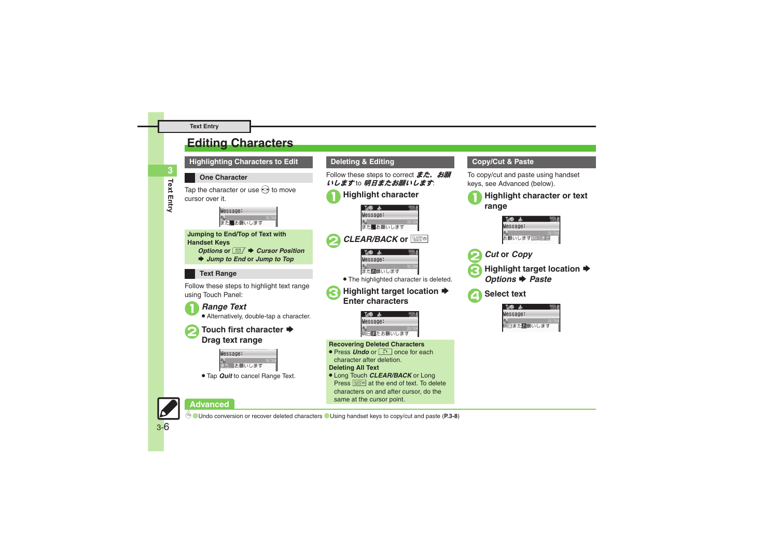### <span id="page-5-0"></span>**Editing Characters**



#### **Copy/Cut & Paste**

To copy/cut and paste using handset keys, see Advanced (below).





**Highlight target location ♦**<br>*Options* ♦ *Paste* 

4**Select text**



### **Advanced**

0([Undo conversion or recover deleted characters](#page-7-9) ([Using handset keys to copy/cut and paste](#page-7-10) (**[P.3-8](#page-7-9)**)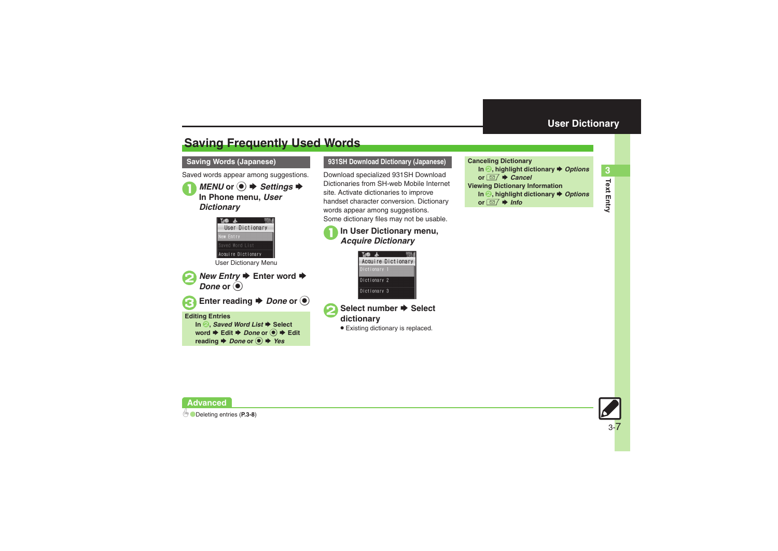## <span id="page-6-1"></span>**Saving Frequently Used Words**

#### **Saving Words (Japanese)**

Saved words appear among suggestions.

*MENU* or ●  $\rightarrow$  *Settings*  $\rightarrow$  **In Phone menu,** *User Dictionary*



Enter reading  $\rightarrow$  *Done* or  $\odot$ 

#### **Editing Entries**

**In <sup>2</sup>,** *Saved Word List* $\triangle$  **Select word ♦ Edit ♦ Done or ● ♦ Edit reading**  $\rightarrow$ *Done* or  $\textcircled{\textcircled{\textcirc}}$   $\rightarrow$  *Yes* 

#### **931SH Download Dictionary (Japanese) Canceling Dictionary**

Download specialized 931SH Download Dictionaries from SH-web Mobile Internet site. Activate dictionaries to improve handset character conversion. Dictionary words appear among suggestions. Some dictionary files may not be usable.

# <sup>1</sup>**In User Dictionary menu,** *Acquire Dictionary*





. Existing dictionary is replaced.

<span id="page-6-0"></span>





**Advanced**